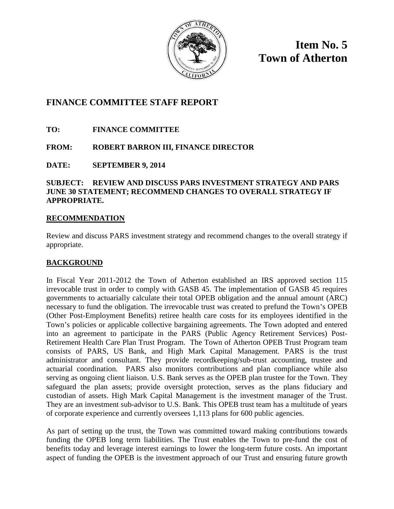

**Item No. 5 Town of Atherton**

# **FINANCE COMMITTEE STAFF REPORT**

**TO: FINANCE COMMITTEE**

# **FROM: ROBERT BARRON III, FINANCE DIRECTOR**

**DATE: SEPTEMBER 9, 2014**

# **SUBJECT: REVIEW AND DISCUSS PARS INVESTMENT STRATEGY AND PARS JUNE 30 STATEMENT; RECOMMEND CHANGES TO OVERALL STRATEGY IF APPROPRIATE.**

# **RECOMMENDATION**

Review and discuss PARS investment strategy and recommend changes to the overall strategy if appropriate.

# **BACKGROUND**

In Fiscal Year 2011-2012 the Town of Atherton established an IRS approved section 115 irrevocable trust in order to comply with GASB 45. The implementation of GASB 45 requires governments to actuarially calculate their total OPEB obligation and the annual amount (ARC) necessary to fund the obligation. The irrevocable trust was created to prefund the Town's OPEB (Other Post-Employment Benefits) retiree health care costs for its employees identified in the Town's policies or applicable collective bargaining agreements. The Town adopted and entered into an agreement to participate in the PARS (Public Agency Retirement Services) Post-Retirement Health Care Plan Trust Program. The Town of Atherton OPEB Trust Program team consists of PARS, US Bank, and High Mark Capital Management. PARS is the trust administrator and consultant. They provide recordkeeping/sub-trust accounting, trustee and actuarial coordination. PARS also monitors contributions and plan compliance while also serving as ongoing client liaison. U.S. Bank serves as the OPEB plan trustee for the Town. They safeguard the plan assets; provide oversight protection, serves as the plans fiduciary and custodian of assets. High Mark Capital Management is the investment manager of the Trust. They are an investment sub-advisor to U.S. Bank. This OPEB trust team has a multitude of years of corporate experience and currently oversees 1,113 plans for 600 public agencies.

As part of setting up the trust, the Town was committed toward making contributions towards funding the OPEB long term liabilities. The Trust enables the Town to pre-fund the cost of benefits today and leverage interest earnings to lower the long-term future costs. An important aspect of funding the OPEB is the investment approach of our Trust and ensuring future growth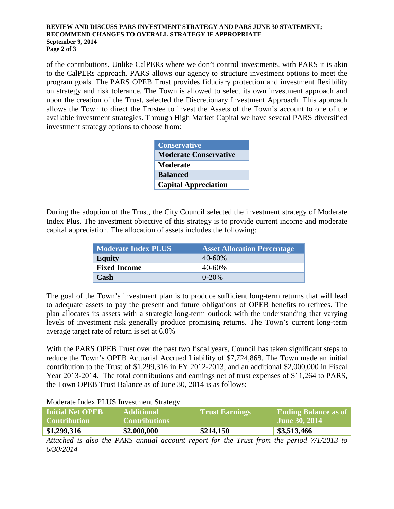# **REVIEW AND DISCUSS PARS INVESTMENT STRATEGY AND PARS JUNE 30 STATEMENT; RECOMMEND CHANGES TO OVERALL STRATEGY IF APPROPRIATE September 9, 2014 Page 2 of 3**

of the contributions. Unlike CalPERs where we don't control investments, with PARS it is akin to the CalPERs approach. PARS allows our agency to structure investment options to meet the program goals. The PARS OPEB Trust provides fiduciary protection and investment flexibility on strategy and risk tolerance. The Town is allowed to select its own investment approach and upon the creation of the Trust, selected the Discretionary Investment Approach. This approach allows the Town to direct the Trustee to invest the Assets of the Town's account to one of the available investment strategies. Through High Market Capital we have several PARS diversified investment strategy options to choose from:

| <b>Conservative</b>          |
|------------------------------|
| <b>Moderate Conservative</b> |
| <b>Moderate</b>              |
| <b>Balanced</b>              |
| <b>Capital Appreciation</b>  |

During the adoption of the Trust, the City Council selected the investment strategy of Moderate Index Plus. The investment objective of this strategy is to provide current income and moderate capital appreciation. The allocation of assets includes the following:

| <b>Moderate Index PLUS</b> | <b>Asset Allocation Percentage</b> |
|----------------------------|------------------------------------|
| <b>Equity</b>              | $40 - 60\%$                        |
| <b>Fixed Income</b>        | $40 - 60\%$                        |
| Cash                       | $0 - 20%$                          |

The goal of the Town's investment plan is to produce sufficient long-term returns that will lead to adequate assets to pay the present and future obligations of OPEB benefits to retirees. The plan allocates its assets with a strategic long-term outlook with the understanding that varying levels of investment risk generally produce promising returns. The Town's current long-term average target rate of return is set at 6.0%

With the PARS OPEB Trust over the past two fiscal years, Council has taken significant steps to reduce the Town's OPEB Actuarial Accrued Liability of \$7,724,868. The Town made an initial contribution to the Trust of \$1,299,316 in FY 2012-2013, and an additional \$2,000,000 in Fiscal Year 2013-2014. The total contributions and earnings net of trust expenses of \$11,264 to PARS, the Town OPEB Trust Balance as of June 30, 2014 is as follows:

# Moderate Index PLUS Investment Strategy

| <b>Initial Net OPEB</b><br>Contribution | <b>Additional</b><br><b>Contributions</b> | <b>Trust Earnings</b> | <b>Ending Balance as of</b><br><b>June 30, 2014</b> |
|-----------------------------------------|-------------------------------------------|-----------------------|-----------------------------------------------------|
| \$1,299,316                             | \$2,000,000                               | \$214,150             | \$3,513,466                                         |
|                                         |                                           |                       |                                                     |

*Attached is also the PARS annual account report for the Trust from the period 7/1/2013 to 6/30/2014*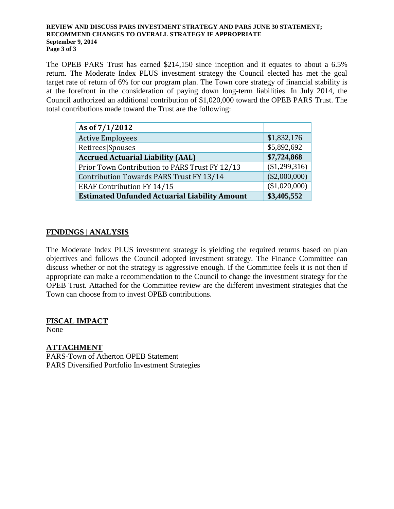# **REVIEW AND DISCUSS PARS INVESTMENT STRATEGY AND PARS JUNE 30 STATEMENT; RECOMMEND CHANGES TO OVERALL STRATEGY IF APPROPRIATE September 9, 2014 Page 3 of 3**

The OPEB PARS Trust has earned \$214,150 since inception and it equates to about a 6.5% return. The Moderate Index PLUS investment strategy the Council elected has met the goal target rate of return of 6% for our program plan. The Town core strategy of financial stability is at the forefront in the consideration of paying down long-term liabilities. In July 2014, the Council authorized an additional contribution of \$1,020,000 toward the OPEB PARS Trust. The total contributions made toward the Trust are the following:

| As of 7/1/2012                                       |                 |
|------------------------------------------------------|-----------------|
| <b>Active Employees</b>                              | \$1,832,176     |
| Retirees Spouses                                     | \$5,892,692     |
| <b>Accrued Actuarial Liability (AAL)</b>             | \$7,724,868     |
| Prior Town Contribution to PARS Trust FY 12/13       | (\$1,299,316)   |
| Contribution Towards PARS Trust FY 13/14             | $(\$2,000,000)$ |
| <b>ERAF Contribution FY 14/15</b>                    | (\$1,020,000)   |
| <b>Estimated Unfunded Actuarial Liability Amount</b> | \$3,405,552     |

# **FINDINGS | ANALYSIS**

The Moderate Index PLUS investment strategy is yielding the required returns based on plan objectives and follows the Council adopted investment strategy. The Finance Committee can discuss whether or not the strategy is aggressive enough. If the Committee feels it is not then if appropriate can make a recommendation to the Council to change the investment strategy for the OPEB Trust. Attached for the Committee review are the different investment strategies that the Town can choose from to invest OPEB contributions.

# **FISCAL IMPACT**

None

**ATTACHMENT** PARS-Town of Atherton OPEB Statement PARS Diversified Portfolio Investment Strategies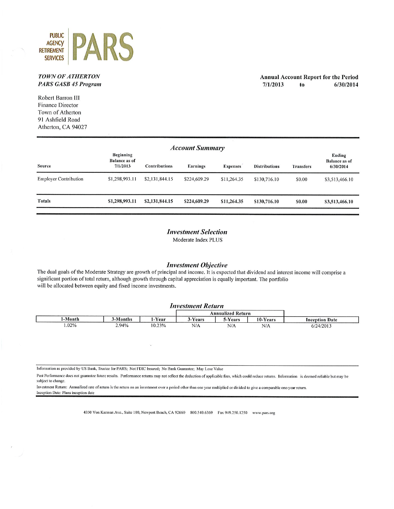

# **TOWN OF ATHERTON PARS GASB 45 Program**

**Annual Account Report for the Period**  $7/1/2013$ 6/30/2014 to

Robert Barron III **Finance Director** Town of Atherton 91 Ashfield Road Atherton, CA 94027

| <b>Account Summary</b>       |                                                      |                      |              |                 |                      |              |                                             |
|------------------------------|------------------------------------------------------|----------------------|--------------|-----------------|----------------------|--------------|---------------------------------------------|
| Source                       | <b>Beginning</b><br><b>Balance as of</b><br>7/1/2013 | <b>Contributions</b> | Earnings     | <b>Expenses</b> | <b>Distributions</b> | Transfers    | Ending<br><b>Balance</b> as of<br>6/30/2014 |
| <b>Employer Contribution</b> | \$1,298,993.11                                       | \$2,131,844.15       | \$224,609.29 | \$11,264.35     | \$130,716.10         | \$0.00       | \$3,513,466.10                              |
| <b>Totals</b>                | \$1,298,993.11                                       | \$2,131,844.15       | \$224,609.29 | \$11,264.35     | \$130,716.10         | <b>SO.00</b> | \$3,513,466.10                              |

# **Investment Selection**

Moderate Index PLUS

# **Investment Objective**

The dual goals of the Moderate Strategy are growth of principal and income. It is expected that dividend and interest income will comprise a significant portion of total return, although growth through capital appreciation is equally important. The portfolio will be allocated between equity and fixed income investments.

# **Investment Return**

|       |         |        |              | Annualized Return |                     |                       |
|-------|---------|--------|--------------|-------------------|---------------------|-----------------------|
| Month | -Months | 1-Year | Years        | Vears             | 10-Years            | <b>Inception Date</b> |
| 1.02% | 2.94%   | 10.23% | N/A<br>----- | N/A               | N/A<br>------------ | 6/24/2013             |

Information as provided by US Bank, Trustee for PARS; Not FDIC Insured; No Bank Guarantee; May Lose Value

Past Performance does not guarantee future results. Performance returns may not reflect the deduction of applicable fees, which could reduce returns. Information is deemed reliable but may be subject to change.

Investment Return: Annualized rate of return is the return on an investment over a period other than one year multiplied or divided to give a comparable one-year return. Inception Date: Plans inception date

4350 Von Karman Ave., Suite 100, Newport Beach, CA 92660 800.540.6369 Fax 949.250.1250 www.pars.org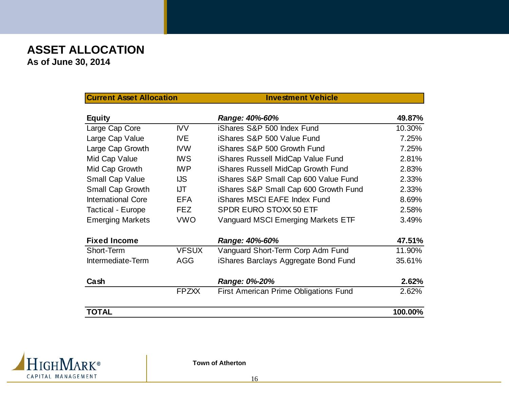# **ASSET ALLOCATION As of June 30, 2014**

| <b>Current Asset Allocation</b> |              | <b>Investment Vehicle</b>                    |         |
|---------------------------------|--------------|----------------------------------------------|---------|
| <b>Equity</b>                   |              | Range: 40%-60%                               | 49.87%  |
| Large Cap Core                  | <b>IVV</b>   | iShares S&P 500 Index Fund                   | 10.30%  |
| Large Cap Value                 | IVE          | iShares S&P 500 Value Fund                   | 7.25%   |
| Large Cap Growth                | <b>IVW</b>   | iShares S&P 500 Growth Fund                  | 7.25%   |
| Mid Cap Value                   | <b>IWS</b>   | iShares Russell MidCap Value Fund            | 2.81%   |
| Mid Cap Growth                  | <b>IWP</b>   | iShares Russell MidCap Growth Fund           | 2.83%   |
| <b>Small Cap Value</b>          | <b>IJS</b>   | iShares S&P Small Cap 600 Value Fund         | 2.33%   |
| Small Cap Growth                | <b>IJT</b>   | iShares S&P Small Cap 600 Growth Fund        | 2.33%   |
| <b>International Core</b>       | <b>EFA</b>   | <b>iShares MSCI EAFE Index Fund</b>          | 8.69%   |
| <b>Tactical - Europe</b>        | <b>FEZ</b>   | <b>SPDR EURO STOXX 50 ETF</b>                | 2.58%   |
| <b>Emerging Markets</b>         | <b>VWO</b>   | Vanguard MSCI Emerging Markets ETF           | 3.49%   |
| <b>Fixed Income</b>             |              | Range: 40%-60%                               | 47.51%  |
| Short-Term                      | <b>VFSUX</b> | Vanguard Short-Term Corp Adm Fund            | 11.90%  |
| Intermediate-Term               | <b>AGG</b>   | iShares Barclays Aggregate Bond Fund         | 35.61%  |
| Cash                            |              | Range: 0%-20%                                | 2.62%   |
|                                 | <b>FPZXX</b> | <b>First American Prime Obligations Fund</b> | 2.62%   |
| <b>TOTAL</b>                    |              |                                              | 100.00% |



**Town of Atherton**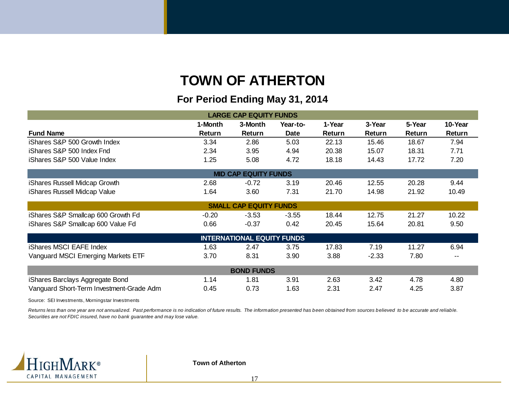# **TOWN OF ATHERTON**

# **For Period Ending May 31 2014 31, LARGE CAP EQUITY FUNDS**

| <b>LARGE CAP EQUITY FUNDS</b>            |         |                                   |             |        |         |        |               |
|------------------------------------------|---------|-----------------------------------|-------------|--------|---------|--------|---------------|
|                                          | 1-Month | 3-Month                           | Year-to-    | 1-Year | 3-Year  | 5-Year | 10-Year       |
| <b>Fund Name</b>                         | Return  | Return                            | <b>Date</b> | Return | Return  | Return | <b>Return</b> |
| iShares S&P 500 Growth Index             | 3.34    | 2.86                              | 5.03        | 22.13  | 15.46   | 18.67  | 7.94          |
| iShares S&P 500 Index Fnd                | 2.34    | 3.95                              | 4.94        | 20.38  | 15.07   | 18.31  | 7.71          |
| iShares S&P 500 Value Index              | 1.25    | 5.08                              | 4.72        | 18.18  | 14.43   | 17.72  | 7.20          |
|                                          |         | <b>MID CAP EQUITY FUNDS</b>       |             |        |         |        |               |
| iShares Russell Midcap Growth            | 2.68    | $-0.72$                           | 3.19        | 20.46  | 12.55   | 20.28  | 9.44          |
| iShares Russell Midcap Value             | 1.64    | 3.60                              | 7.31        | 21.70  | 14.98   | 21.92  | 10.49         |
|                                          |         | <b>SMALL CAP EQUITY FUNDS</b>     |             |        |         |        |               |
| iShares S&P Smallcap 600 Growth Fd       | $-0.20$ | $-3.53$                           | $-3.55$     | 18.44  | 12.75   | 21.27  | 10.22         |
| iShares S&P Smallcap 600 Value Fd        | 0.66    | $-0.37$                           | 0.42        | 20.45  | 15.64   | 20.81  | 9.50          |
|                                          |         | <b>INTERNATIONAL EQUITY FUNDS</b> |             |        |         |        |               |
| <b>iShares MSCI EAFE Index</b>           | 1.63    | 2.47                              | 3.75        | 17.83  | 7.19    | 11.27  | 6.94          |
| Vanguard MSCI Emerging Markets ETF       | 3.70    | 8.31                              | 3.90        | 3.88   | $-2.33$ | 7.80   |               |
| <b>BOND FUNDS</b>                        |         |                                   |             |        |         |        |               |
| iShares Barclays Aggregate Bond          | 1.14    | 1.81                              | 3.91        | 2.63   | 3.42    | 4.78   | 4.80          |
| Vanguard Short-Term Investment-Grade Adm | 0.45    | 0.73                              | 1.63        | 2.31   | 2.47    | 4.25   | 3.87          |

Source: SEI Investments, Morningstar Investments

*Returns less than one year are not annualized. Past performance is no indication of future results. The information presented has been obtained from sources believed to be accurate and reliable. Securities are not FDIC insured, have no bank guarantee and may lose value.*



**Town of Atherton**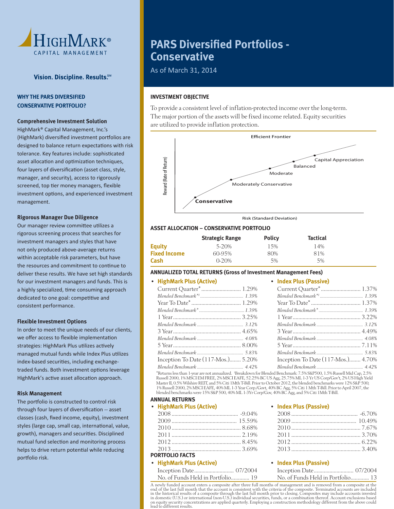

# **WHY THE PARS DIVERSIFIED CONSERVATIVE PORTFOLIO?**

# **Comprehensive Investment Solution**

 HighMark® Capital Management, Inc.'s (HighMark) diversified investment portfolios are designed to balance return expectations with risk tolerance. Key features include: sophisticated asset allocation and optimization techniques, four layers of diversification (asset class, style, manager, and security), access to rigorously screened, top tier money managers, flexible investment options, and experienced investment management.

### **Rigorous Manager Due Diligence**

Our manager review committee utilizes a rigorous screening process that searches for investment managers and styles that have not only produced above-average returns within acceptable risk parameters, but have the resources and commitment to continue to deliver these results. We have set high standards for our investment managers and funds. This is a highly specialized, time consuming approach dedicated to one goal: competitive and consistent performance.

### **Flexible Investment Options**

 In order to meet the unique needs of our clients, we offer access to flexible implementation strategies: HighMark Plus utilizes actively managed mutual funds while Index Plus utilizes index-based securities, including exchangetraded funds. Both investment options leverage HighMark's active asset allocation approach.

#### **Risk Management**

The portfolio is constructed to control risk through four layers of diversification -- asset classes (cash, fixed income, equity), investment styles (large cap, small cap, international, value, growth), managers and securities. Disciplined mutual fund selection and monitoring process helps to drive return potential while reducing portfolio risk.

# **PARS Diversified Portfolios -Conservative**

As of March 31, 2014

# **INVESTMENT OBJECTIVE**

 To provide a consistent level of inflation-protected income over the long-term. The major portion of the assets will be fixed income related. Equity securities are utilized to provide inflation protection.



Risk (Standard Deviation)

### **ASSET ALLOCATION – CONSERVATIVE PORTFOLIO**

|                     | <b>Strategic Range</b> | <b>Policy</b> | <b>Tactical</b> |
|---------------------|------------------------|---------------|-----------------|
| Equity              | 5-20%                  | 15%           | 14%             |
| <b>Fixed Income</b> | 60-95%                 | 80%           | 81%             |
| Cash                | $0 - 20%$              | 5%            | 5%              |

# **ANNUALIZED TOTAL RETURNS (Gross of Investment Management Fees)**

# • **HighMark Plus (Active)**

| • HighMark Plus (Active)           | • Index Plus (Passive)             |
|------------------------------------|------------------------------------|
|                                    |                                    |
|                                    |                                    |
|                                    |                                    |
|                                    |                                    |
|                                    |                                    |
|                                    |                                    |
|                                    |                                    |
|                                    |                                    |
|                                    |                                    |
|                                    |                                    |
| Inception To Date (117-Mos.) 5.20% | Inception To Date (117-Mos.) 4.70% |
|                                    |                                    |

 \*Returns less than 1-year are not annualized. 1 Breakdown for Blended Benchmark: 7.5% S&P500, 1.5% Russell Mid Cap, 2.5% Russell 2000, 1% MSCI EM FREE, 2% MSCI EAFE, 52.25% BC US Agg, 25.75% ML 1-3 Yr US Corp/Gov't, 2% US High Yield<br>Master II, 0.5% Wilshire REIT, and 5% Citi 1Mth T-Bill. Prior to October 2012, the blended benchmarks were 12% 1% Russell 2000, 2% MSCI EAFE, 40% ML 1-3 Year Corp./Govt, 40% BC Agg, 5% Citi 1 Mth T-Bill. Prior to April 2007, the blended benchmarks were 15% S&P 500, 40% ML 1-3Yr Corp/Gov, 40% BC Agg, and 5% Citi 1Mth T-Bill.

### **ANNUAL RETURNS**

| <b>HighMark Plus (Active)</b> |  |  |
|-------------------------------|--|--|
|-------------------------------|--|--|

| <b>PORTFOLIO FACTS</b> |  |
|------------------------|--|

# • **HighMark Plus (Active)**

| No. of Funds Held in Portfolio 19 |  |  |
|-----------------------------------|--|--|

#### • **Index Plus (Passive)**

### • **Index Plus (Passive)**

| No. of Funds Held in Portfolio 19 | No. of Funds Held in Portfolio 13 |
|-----------------------------------|-----------------------------------|

A newly funded account enters a composite after three full months of management and is removed from a composite at the<br>end of the last full month that the account is consistent with the criteria of the composite. Terminate lead to different results.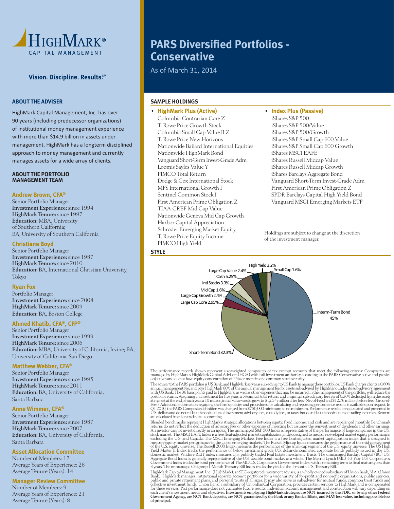

# **ABOUT THE ADVISER**

 HighMark Capital Management, Inc. has over 90 years (including predecessor organizations) of institutional money management experience with more than \$14.9 billion in assets under management. HighMark has a longterm disciplined approach to money management and currently manages assets for a wide array of clients.

#### **ABOUT THE PORTFOLIO MANAGEMENT TEAM**

#### **Andrew Brown, CFA®**

Senior Portfolio Manager Investment Experience: since 1994 HighMark Tenure: since 1997 Education: MBA, University of Southern California; BA, University of Southern California

# **Christiane Boyd**

Senior Portfolio Manager Investment Experience: since 1987 HighMark Tenure: since 2010 Education: BA, International Christian University, Tokyo

# **Ryan Fox**

Portfolio Manager Investment Experience: since 2004 HighMark Tenure: since 2009 Education: BA, Boston College

# **Ahmed Khatib, CFA®, CFP®**

Senior Portfolio Manager Investment Experience: since 1999 HighMark Tenure: since 2006 Education: MBA, University of California, Irvine; BA, University of California, San Diego

#### **Matthew Webber, CFA®**

Senior Portfolio Manager Investment Experience: since 1995 HighMark Tenure: since 2011 Education: BA, University of California, Santa Barbara

### **Anne Wimmer, CFA®**

Senior Portfolio Manager Investment Experience: since 1987 HighMark Tenure: since 2007 Education: BA, University of California, Santa Barbara

# **Asset Allocation Committee**

Number of Members: 12 Average Years of Experience: 26 Average Tenure (Years): 14

# **Manager Review Committee**

Number of Members: 9 Average Years of Experience: 21 Average Tenure (Years): 8

# **PARS Diversified Portfolios -Conservative**

As of March 31, 2014

# **SAMPLE HOLDINGS**

# • **HighMark Plus (Active)**

 Columbia Contrarian Core Z T. Rowe Price Growth Stock Columbia Small Cap Value II Z T. Rowe Price New Horizons Nationwide Bailard International Equities Nationwide HighMark Bond Vanguard Short-Term Invest-Grade Adm Loomis Sayles Value Y PIMCO Total Return Dodge & Cox International Stock MFS International Growth I Sentinel Common Stock I First American Prime Obligation Z TIAA-CREF Mid Cap Value Nationwide Geneva Mid Cap Growth Harbor Capital Appreciation Schroder Emerging Market Equity T. Rowe Price Equity Income PIMCO High Yield

# • **Index Plus (Passive)**

 iShares S&P 500 iShares S&P 500/Value iShares S&P 500/Growth iShares S&P Small Cap 600 Value iShares S&P Small Cap 600 Growth iShares MSCI EAFE iShares Russell Midcap Value iShares Russell Midcap Growth iShares Barclays Aggregate Bond Vanguard Short-Term Invest-Grade Adm First American Prime Obligation Z SPDR Barclays Capital High Yield Bond Vanguard MSCI Emerging Markets ETF

Holdings are subject to change at the discretion of the investment manager.

# **STYLE**



The performance records shown represent size-weighted composites of tax exempt accounts that meet the following criteria: Composites are managed by HighMark's HighMark Capital Advisors (HCA) with full investment authority

The adviser to the PARS portfolios is US Bank, and HighMark serves as sub-adviser to US Bank to manage these portfolios. US Bank charges clients a 0.60% with US Bank charges clients a 0.60% or the annual management fee, an

Blended benchmarks represent HighMark's strategic allocations between equity, fixed income, and cash and are rebalanced monthly. Benchmark<br>returns do not reflect the deduction of advisory fees or other expenses of investin stock market. The MSCI EAFE Index is a free float-adjusted market capitalization index designed to measure developed market equity performance,<br>excluding the U.S. and Canada. The MSCI Emerging Markets Free Index is a free domestic market. Wilshire REIT index measures U.S. publicly traded Real Estate Investment Trusts. The unmanaged Barclays Capital (BC) U.S. Aggregate Bond Index is generally representative of the U.S. taxable bond market as Government Index tracks the bond performance of The ML U.S. Corporate & Government Index, with a remaining term to final maturity less than<br>3 years. The unmanaged Citigroup 1-Month Treasury Bill Index tracks the yield of t

HighMark Capital Management, Inc. (HighMark), an SEC-registered investment adviser, is a wholly owned subsidiary of Union Bank, N.A. (Union<br>Bank). HighMark manages institutional separate account portfolios for a wide varie collective investment funds. Union Bank, a subsidiary of UnionBanCal Corporation, provides certain services to HighMark and is compensated<br>for these services. Past performance does not guarantee future results. Individual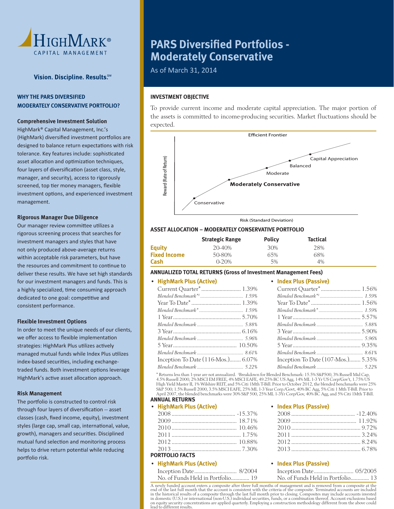

# **WHY THE PARS DIVERSIFIED MODERATELY CONSERVATIVE PORTFOLIO?**

# **Comprehensive Investment Solution**

 HighMark® Capital Management, Inc.'s (HighMark) diversified investment portfolios are designed to balance return expectations with risk tolerance. Key features include: sophisticated asset allocation and optimization techniques, four layers of diversification (asset class, style, manager, and security), access to rigorously screened, top tier money managers, flexible investment options, and experienced investment management.

### **Rigorous Manager Due Diligence**

Our manager review committee utilizes a rigorous screening process that searches for investment managers and styles that have not only produced above-average returns within acceptable risk parameters, but have the resources and commitment to continue to deliver these results. We have set high standards for our investment managers and funds. This is a highly specialized, time consuming approach dedicated to one goal: competitive and consistent performance.

### **Flexible Investment Options**

 In order to meet the unique needs of our clients, we offer access to flexible implementation strategies: HighMark Plus utilizes actively managed mutual funds while Index Plus utilizes index-based securities, including exchangetraded funds. Both investment options leverage HighMark's active asset allocation approach.

### **Risk Management**

The portfolio is constructed to control risk through four layers of diversification -- asset classes (cash, fixed income, equity), investment styles (large cap, small cap, international, value, growth), managers and securities. Disciplined mutual fund selection and monitoring process helps to drive return potential while reducing portfolio risk.

# **PARS Diversified Portfolios -Moderately Conservative**

As of March 31, 2014

# **INVESTMENT OBJECTIVE**

 To provide current income and moderate capital appreciation. The major portion of the assets is committed to income-producing securities. Market fluctuations should be expected.



Risk (Standard Deviation)

# **ASSET ALLOCATION – MODERATELY CONSERVATIVE PORTFOLIO**

|                     | <b>Strategic Range</b> | <b>Policy</b> | <b>Tactical</b> |
|---------------------|------------------------|---------------|-----------------|
| Equity              | 20-40%                 | 30%           | 28%             |
| <b>Fixed Income</b> | 50-80%                 | 65%           | 68%             |
| Cash                | $0 - 20%$              | 5%            | 4%              |

# **ANNUALIZED TOTAL RETURNS (Gross of Investment Management Fees)**

### • **HighMark Plus (Active)**

| Inception To Date (116-Mos.) 6.07% |  |
|------------------------------------|--|
|                                    |  |

 • **Index Plus (Passive)** Current Quarter\* ............................ 1.56%

| Inception To Date (107-Mos.) 5.35% |
|------------------------------------|
|                                    |
|                                    |

 \* Returns less than 1-year are not annualized. 1 Breakdown for Blended Benchmark: 15.5% S&P500, 3% Russell Mid Cap, 4.5% Russell 2000, 2% MSCI EM FREE, 4% MSCI EAFE, 49.25% BC US Agg, 14% ML 1-3 Yr US Corp/Gov't, 1.75% US<br>High Yield Master II, 1% Wilshire REIT, and 5% Citi 1Mth T-Bill. Prior to October 2012, the blended benchmarks were S&P 500; 1.5% Russell 2000, 3.5% MSCI EAFE, 25% ML 1-3 Year Corp./Govt, 40% BC Agg, 5% Citi 1 Mth T-Bill. Prior to<br>April 2007, the blended benchmarks were 30% S&P 500, 25% ML 1-3Yr Corp/Gov, 40% BC Agg, and 5% Citi 1 Mth T

### **ANNUAL RETURNS**

| • HighMark Plus (Active) |  |
|--------------------------|--|
|                          |  |
|                          |  |
|                          |  |
|                          |  |
|                          |  |
|                          |  |

# **PORTFOLIO FACTS**

# • **HighMark Plus (Active)**

| No. of Funds Held in Portfolio 19 |  |
|-----------------------------------|--|

#### • **Index Plus (Passive)**

### • **Index Plus (Passive)**

| No. of Funds Held in Portfolio 13 |  |
|-----------------------------------|--|

 A newly funded account enters a composite after three full months of management and is removed from a composite at the end of the last full month that the account is consistent with the criteria of the composite. Terminated accounts are included<br>in the historical results of a composite through the last full month prior to closing. Composit in domestic (U.S.) or international (non-U.S.) individual securities, funds, or a combination thereof. Account exclusions based on equity security concentrations are applied quarterly. Employing a construction methodology different from the above could lead to different results.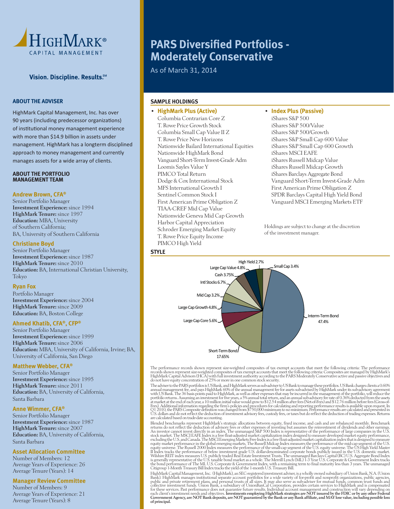

# **ABOUT THE ADVISER**

 HighMark Capital Management, Inc. has over 90 years (including predecessor organizations) of institutional money management experience with more than \$14.9 billion in assets under management. HighMark has a longterm disciplined approach to money management and currently manages assets for a wide array of clients.

#### **ABOUT THE PORTFOLIO MANAGEMENT TEAM**

### **Andrew Brown, CFA®**

Senior Portfolio Manager Investment Experience: since 1994 HighMark Tenure: since 1997 Education: MBA, University of Southern California; BA, University of Southern California

# **Christiane Boyd**

Senior Portfolio Manager Investment Experience: since 1987 HighMark Tenure: since 2010 Education: BA, International Christian University, Tokyo

# **Ryan Fox**

Portfolio Manager Investment Experience: since 2004 HighMark Tenure: since 2009 Education: BA, Boston College

### **Ahmed Khatib, CFA®, CFP®**

Senior Portfolio Manager Investment Experience: since 1999 HighMark Tenure: since 2006 Education: MBA, University of California, Irvine; BA, University of California, San Diego

# **Matthew Webber, CFA®**

Senior Portfolio Manager Investment Experience: since 1995 HighMark Tenure: since 2011 Education: BA, University of California, Santa Barbara

### **Anne Wimmer, CFA®**

Senior Portfolio Manager Investment Experience: since 1987 HighMark Tenure: since 2007 Education: BA, University of California, Santa Barbara

#### **Asset Allocation Committee**

Number of Members: 12 Average Years of Experience: 26 Average Tenure (Years): 14

# **Manager Review Committee**

Number of Members: 9 Average Years of Experience: 21 Average Tenure (Years): 8

# **PARS Diversified Portfolios -Moderately Conservative**

As of March 31, 2014

# **SAMPLE HOLDINGS**

**STYLE**

# • **HighMark Plus (Active)**

Columbia Contrarian Core Z T. Rowe Price Growth Stock Columbia Small Cap Value II Z T. Rowe Price New Horizons Nationwide Bailard International Equities Nationwide HighMark Bond Vanguard Short-Term Invest-Grade Adm Loomis Sayles Value Y PIMCO Total Return Dodge & Cox International Stock MFS International Growth I Sentinel Common Stock I First American Prime Obligation Z TIAA-CREF Mid Cap Value Nationwide Geneva Mid Cap Growth Harbor Capital Appreciation Schroder Emerging Market Equity T. Rowe Price Equity Income PIMCO High Yield

# • **Index Plus (Passive)**

iShares S&P 500 iShares S&P 500/Value iShares S&P 500/Growth iShares S&P Small Cap 600 Value iShares S&P Small Cap 600 Growth iShares MSCI EAFE iShares Russell Midcap Value iShares Russell Midcap Growth iShares Barclays Aggregate Bond Vanguard Short-Term Invest-Grade Adm First American Prime Obligation Z SPDR Barclays Capital High Yield Bond Vanguard MSCI Emerging Markets ETF

Holdings are subject to change at the discretion of the investment manager.



The performance records shown represent size-weighted composites of tax exempt accounts that meet the following criteria: The performance records shown represent size-weighted composites of tax exempt accounts that meet th

The adviser to the PARS portfolios is US Bank, and HighMark serves as sub-adviser to US Bank to manage these portfolios. US Bank charges clients a 0.60% with US Bank Charges clients a 0.60% and the wantual management fee,

Blended benchmarks represent HighMark's strategic allocations between equity, fixed income, and cash and are rebalanced monthly. Benchmark<br>returns do not reflect the deduction of advisory fees or other expenses of investin stock market. The MSCI EAFE Index is a free float-adjusted market capitalization index designed to measure developed market equity performance,<br>excluding the U.S. and Canada. The MSCI Emerging Markets Free Index is a free equity universe. The Russell 2000 Index measures the performance of the small-cap segment of the U.S. equity universe. The US High Yield Master<br>II Index tracks the performance of below investment grade U.S. dollar-denomina Wilshire REIT index measures U.S. publicly traded Real Estate Investment Trusts. The unmanaged Barclays Capital (BC) U.S. Aggregate Bond Index<br>is generally representative of the U.S. taxable bond market as a whole. The Mer the bond performance of The ML U.S. Corporate & Government Index, with a remaining term to final maturity less than 3 years. The unmanaged<br>Citigroup 1-Month Treasury Bill Index tracks the yield of the 1-month U.S. Treasury

HighMark Capital Management, Inc. (HighMark), an SEC-registered investment adviser, is a wholly owned subsidiary of Union Bank, N.A. (Union<br>Bank). HighMark manages institutional separate account portfolios for a wide varie collective investment funds. Union Bank, a subsidiary of UnionBanCal Corporation, provides certain services to HighMark and is compensated<br>for these services. Past performance does not guarantee future results. Individual of principal.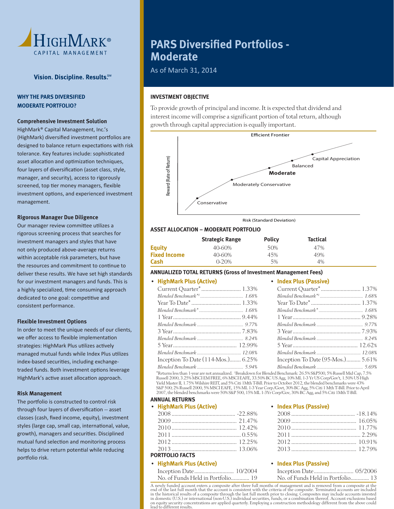

# **WHY THE PARS DIVERSIFIED MODERATE PORTFOLIO?**

# **Comprehensive Investment Solution**

 HighMark® Capital Management, Inc.'s (HighMark) diversified investment portfolios are designed to balance return expectations with risk tolerance. Key features include: sophisticated asset allocation and optimization techniques, four layers of diversification (asset class, style, manager, and security), access to rigorously screened, top tier money managers, flexible investment options, and experienced investment management.

### **Rigorous Manager Due Diligence**

Our manager review committee utilizes a rigorous screening process that searches for investment managers and styles that have not only produced above-average returns within acceptable risk parameters, but have the resources and commitment to continue to deliver these results. We have set high standards for our investment managers and funds. This is a highly specialized, time consuming approach dedicated to one goal: competitive and consistent performance.

### **Flexible Investment Options**

 In order to meet the unique needs of our clients, we offer access to flexible implementation strategies: HighMark Plus utilizes actively managed mutual funds while Index Plus utilizes index-based securities, including exchangetraded funds. Both investment options leverage HighMark's active asset allocation approach.

### **Risk Management**

The portfolio is constructed to control risk through four layers of diversification -- asset classes (cash, fixed income, equity), investment styles (large cap, small cap, international, value, growth), managers and securities. Disciplined mutual fund selection and monitoring process helps to drive return potential while reducing portfolio risk.

# **PARS Diversified Portfolios -Moderate**

As of March 31, 2014

# **INVESTMENT OBJECTIVE**

 To provide growth of principal and income. It is expected that dividend and interest income will comprise a significant portion of total return, although growth through capital appreciation is equally important.



Risk (Standard Deviation)

# **ASSET ALLOCATION – MODERATE PORTFOLIO**

|                     | <b>Strategic Range</b> | <b>Policy</b> | <b>Tactical</b> |
|---------------------|------------------------|---------------|-----------------|
| Equity              | 40-60%                 | 50%           | 47%             |
| <b>Fixed Income</b> | 40-60%                 | 45%           | 49%             |
| Cash                | $0 - 20%$              | 5%            | 4%              |

# **ANNUALIZED TOTAL RETURNS (Gross of Investment Management Fees)**

# • **HighMark Plus (Active)**

| Inception To Date $(114 \text{-Mos.})$ 6.25% | Inception To Date (95-Mos.) 5.61% |
|----------------------------------------------|-----------------------------------|
|                                              |                                   |

 *Blended Benchmark ......................................... 5.94% Blended Benchmark ......................................... 5.69%* \*Returns less than 1-year are not annualized. 1 Breakdown for Blended Benchmark: 26.5% S&P500, 5% Russell Mid Cap, 7.5% Russell 2000, 3.25% MSCI EM FREE, 6% MSCI EAFE, 33.50% BC US Agg, 10% ML 1-3 Yr US Corp/Gov't, 1.50% US High Yield Master II, 1.75% Wilshire REIT, and 5% Citi 1Mth T-Bill. Prior to October 2012, the blended benchmarks were 43% S&P 500; 2% Russell 2000, 5% MSCI EAFE, 15% ML 1-3 Year Corp./Govt, 30% BC Agg, 5% Citi 1 Mth T-Bill. Prior to April 2007, the blended benchmarks were 50% S&P 500, 15% ML 1-3Yr Corp/Gov, 30% BC Agg, and 5% Citi 1Mth T-Bill.

### **ANNUAL RETURNS**

• **HighMark Plus (Active)**

| $\cdots$               |  |
|------------------------|--|
|                        |  |
|                        |  |
|                        |  |
|                        |  |
|                        |  |
|                        |  |
| <b>PORTFOLIO FACTS</b> |  |

# • **HighMark Plus (Active)**

| Inception Date 10/2004            |  |
|-----------------------------------|--|
| No. of Funds Held in Portfolio 19 |  |

#### • **Index Plus (Passive)**

• **Index Plus (Passive)**

| $2012$ [0.91%] |  |
|----------------|--|
|                |  |

# • **Index Plus (Passive)**

| No. of Funds Held in Portfolio 13 |  |
|-----------------------------------|--|

 A newly funded account enters a composite after three full months of management and is removed from a composite at the end of the last full month that the account is consistent with the criteria of the composite. Terminated accounts are included<br>in the historical results of a composite through the last full month prior to closing. Composit in domestic (U.S.) or international (non-U.S.) individual securities, funds, or a combination thereof. Account exclusions based on equity security concentrations are applied quarterly. Employing a construction methodology different from the above could lead to different results.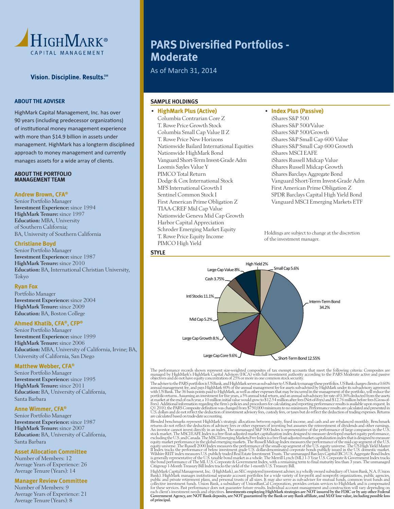

## **ABOUT THE ADVISER**

 HighMark Capital Management, Inc. has over 90 years (including predecessor organizations) of institutional money management experience with more than \$14.9 billion in assets under management. HighMark has a longterm disciplined approach to money management and currently manages assets for a wide array of clients.

## **ABOUT THE PORTFOLIO MANAGEMENT TEAM**

#### **Andrew Brown, CFA®**

Senior Portfolio Manager Investment Experience: since 1994 HighMark Tenure: since 1997 Education: MBA, University of Southern California; BA, University of Southern California

# **Christiane Boyd**

Senior Portfolio Manager Investment Experience: since 1987 HighMark Tenure: since 2010 Education: BA, International Christian University, Tokyo

# **Ryan Fox**

Portfolio Manager Investment Experience: since 2004 HighMark Tenure: since 2009 Education: BA, Boston College

### **Ahmed Khatib, CFA®, CFP®**

Senior Portfolio Manager Investment Experience: since 1999 HighMark Tenure: since 2006 Education: MBA, University of California, Irvine; BA, University of California, San Diego

#### **Matthew Webber, CFA®**

Senior Portfolio Manager Investment Experience: since 1995 HighMark Tenure: since 2011 Education: BA, University of California, Santa Barbara

#### **Anne Wimmer, CFA®**

Senior Portfolio Manager Investment Experience: since 1987 HighMark Tenure: since 2007 Education: BA, University of California, Santa Barbara

#### **Asset Allocation Committee**

Number of Members: 12 Average Years of Experience: 26 Average Tenure (Years): 14

# **Manager Review Committee**

Number of Members: 9 Average Years of Experience: 21 Average Tenure (Years): 8

# **PARS Diversified Portfolios -Moderate**

As of March 31, 2014

# **SAMPLE HOLDINGS**

# • **HighMark Plus (Active)**

 Columbia Contrarian Core Z T. Rowe Price Growth Stock Columbia Small Cap Value II Z T. Rowe Price New Horizons Nationwide Bailard International Equities Nationwide HighMark Bond Vanguard Short-Term Invest-Grade Adm Loomis Sayles Value Y PIMCO Total Return Dodge & Cox International Stock MFS International Growth I Sentinel Common Stock I First American Prime Obligation Z TIAA-CREF Mid Cap Value Nationwide Geneva Mid Cap Growth Harbor Capital Appreciation Schroder Emerging Market Equity T. Rowe Price Equity Income PIMCO High Yield

# • **Index Plus (Passive)**

iShares S&P 500 iShares S&P 500/Value iShares S&P 500/Growth iShares S&P Small Cap 600 Value iShares S&P Small Cap 600 Growth iShares MSCI EAFE iShares Russell Midcap Value iShares Russell Midcap Growth iShares Barclays Aggregate Bond Vanguard Short-Term Invest-Grade Adm First American Prime Obligation Z SPDR Barclays Capital High Yield Bond Vanguard MSCI Emerging Markets ETF

Holdings are subject to change at the discretion of the investment manager.



The performance records shown represent size-weighted composites of tax exempt accounts that meet the following criteria: Composites are managed by HighMark's HighMark Capital Advisors (HCA) with full investment authority

The adviser to the PARS portfolios is US Bank, and HighMark serves as sub-adviser to US Bank to manage these portfolios. US Bank charges clients a 0.60% with US Bank Charges clients a 0.60% or the annual management free, a

Blended benchmarks represent HighMark's strategic allocations between equity, fixed income, and cash and are rebalanced monthly. Benchmark<br>returns do not reflect the deduction of advisory fees or other expenses of investin stock market. The MSCI EAFE Index is a free float-adjusted market capitalization index designed to measure developed market equity performance,<br>excluding the U.S. and Canada. The MSCI Emerging Markets Free Index is a free equity universe. The Russell 2000 Index measures the performance of the small-cap segment of the U.S. equity universe. The US High Yield Master<br>II Index tracks the performance of below investment grade U.S. dollar-denomina Wilshire REIT index measures U.S. publicly traded Real Estate Investment Trusts. The unmanaged Barclays Capital (BC) U.S. Aggregate Bond Index<br>is generally representative of the U.S. taxable bond market as a whole. The Mer the bond performance of The ML U.S. Corporate & Government Index, with a remaining term to final maturity less than 3 years. The unmanaged<br>Citigroup 1-Month Treasury Bill Index tracks the yield of the 1-month U.S. Treasury

HighMark Capital Management, Inc. (HighMark), an SEC-registered investment adviser, is a wholly owned subsidiary of Union Bank, N.A. (Union Bank). HighMark manages institutional separate account portfolios for a wide variety of for-profit and nonprofit organizations, public agencies,<br>public and private retirement plans, and personal trusts of all sizes. It may collective investment funds. Union Bank, a subsidiary of UnionBanCal Corporation, provides certain services to HighMark and is compensated<br>for these services. Past performance does not guarantee future results. Individual of principal.

#### **STYLE**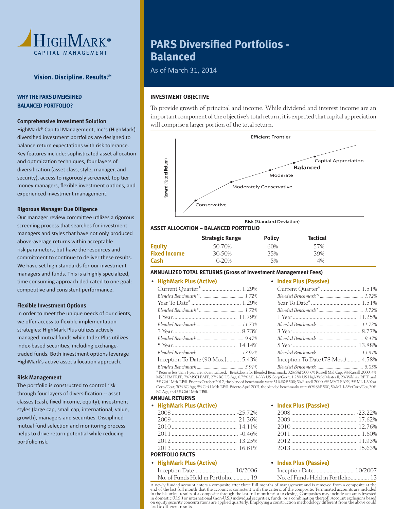

# **WHY THE PARS DIVERSIFIED BALANCED PORTFOLIO?**

# **Comprehensive Investment Solution**

 HighMark® Capital Management, Inc.'s (HighMark) diversified investment portfolios are designed to balance return expectations with risk tolerance. Key features include: sophisticated asset allocation and optimization techniques, four layers of diversification (asset class, style, manager, and security), access to rigorously screened, top tier money managers, flexible investment options, and experienced investment management.

#### **Rigorous Manager Due Diligence**

Our manager review committee utilizes a rigorous screening process that searches for investment managers and styles that have not only produced above-average returns within acceptable risk parameters, but have the resources and commitment to continue to deliver these results. We have set high standards for our investment managers and funds. This is a highly specialized, time consuming approach dedicated to one goal: competitive and consistent performance.

### **Flexible Investment Options**

 In order to meet the unique needs of our clients, we offer access to flexible implementation strategies: HighMark Plus utilizes actively managed mutual funds while Index Plus utilizes index-based securities, including exchangetraded funds. Both investment options leverage HighMark's active asset allocation approach.

### **Risk Management**

The portfolio is constructed to control risk through four layers of diversification -- asset classes (cash, fixed income, equity), investment styles (large cap, small cap, international, value, growth), managers and securities. Disciplined mutual fund selection and monitoring process helps to drive return potential while reducing portfolio risk.

# **PARS Diversified Portfolios -Balanced**

As of March 31, 2014

# **INVESTMENT OBJECTIVE**

 To provide growth of principal and income. While dividend and interest income are an important component of the objective's total return, it is expected that capital appreciation will comprise a larger portion of the total return.



#### Risk (Standard Deviation)

# **ASSET ALLOCATION – BALANCED PORTFOLIO**

|                     | <b>Strategic Range</b> | <b>Policy</b> | <b>Tactical</b> |
|---------------------|------------------------|---------------|-----------------|
| <b>Equity</b>       | 50-70%                 | 60%           | 57%             |
| <b>Fixed Income</b> | 30-50%                 | 35%           | 39%             |
| Cash                | $0 - 20%$              | 5%            | 4%              |

# **ANNUALIZED TOTAL RETURNS (Gross of Investment Management Fees)**

### • **HighMark Plus (Active)**

|                                        | $C$ uri           |
|----------------------------------------|-------------------|
|                                        | <b>Blend</b>      |
|                                        | Year              |
|                                        | <b>Blend</b>      |
|                                        | 1 Yea             |
|                                        | <b>Blend</b>      |
|                                        | 3 Yea             |
|                                        | <b>Blend</b>      |
|                                        | 5 Yea             |
|                                        | <b>Blend</b>      |
| Inception To Date (90-Mos.) 5.43%      | Ince <sub>l</sub> |
| $Blandad$ Bauchwark $\overline{501\%}$ | Bland             |

 Current Quarter\* ............................ 1.51%  *Blended Benchmark\*1 ...................................... 1.72%* Year To Date\* ................................... 1.51%  *Blended Benchmark\* ....................................... 1.72%* 1 Year ............................................. 11.25%  *Blended Benchmark ....................................... 11.73%* 3 Year ................................................ 8.77%  *Blended Benchmark ......................................... 9.47%* 5 Year ............................................. 13.88%  *Blended Benchmark ....................................... 13.97%* ption To Date (78-Mos.) .......... 4.58%  *Blended Benchmark ......................................... 5.05%*

 *Blended Benchmark ......................................... 5.91%* \* Returns less than 1-year are not annualized. 1 Breakdown for Blended Benchmark: 32% S&P500, 6% Russell Mid Cap, 9% Russell 2000, 4% MSCI EM FREE, 7% MSCI EAFE, 27% BC US Agg, 6.75% ML 1-3 Yr US Corp/Gov't, 1.25% US High Yield Master II, 2% Wilshire REIT, and 5% Citi 1Mth T-Bill. Prior to October 2012, the blended benchmarks were 51% S&P 500; 3% Russell 2000, 6% MSCI EAFE, 5% ML 1-3 Year Corp./Govt, 30% BC Agg, 5% Citi 1 Mth T-Bill. Prior to April 2007, the blended benchmarks were 60% S&P 500, 5% ML 1-3Yr Corp/Gov, 30% BC Agg, and 5% Citi 1Mth T-Bill.

#### **ANNUAL RETURNS**

• **HighMark Plus (Active)**

| <b>PORTFOLIO FACTS</b> |  |
|------------------------|--|

# • **HighMark Plus (Active)**

| Inception Date 10/2006            |  |  |
|-----------------------------------|--|--|
| No. of Funds Held in Portfolio 19 |  |  |

#### • **Index Plus (Passive)**

• **Index Plus (Passive)**

### • **Index Plus (Passive)**

| No. of Funds Held in Portfolio 13 |  |
|-----------------------------------|--|

 A newly funded account enters a composite after three full months of management and is removed from a composite at the end of the last full month that the account is consistent with the criteria of the composite. Terminated accounts are included<br>in the historical results of a composite through the last full month prior to closing. Composit lead to different results.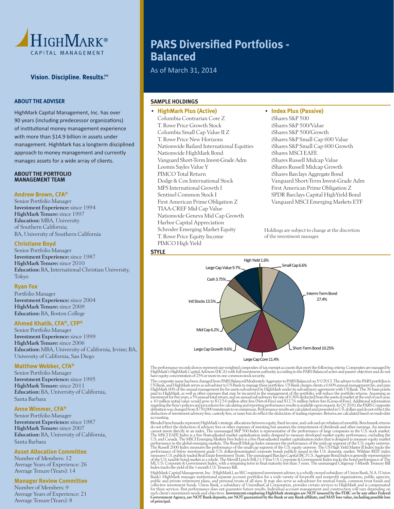

# **ABOUT THE ADVISER**

 HighMark Capital Management, Inc. has over 90 years (including predecessor organizations) of institutional money management experience with more than \$14.9 billion in assets under management. HighMark has a longterm disciplined approach to money management and currently manages assets for a wide array of clients.

#### **ABOUT THE PORTFOLIO MANAGEMENT TEAM**

#### **Andrew Brown, CFA®**

Senior Portfolio Manager Investment Experience: since 1994 HighMark Tenure: since 1997 Education: MBA, University of Southern California; BA, University of Southern California

# **Christiane Boyd**

Senior Portfolio Manager Investment Experience: since 1987 HighMark Tenure: since 2010 Education: BA, International Christian University, Tokyo

# **Ryan Fox**

Portfolio Manager Investment Experience: since 2004 HighMark Tenure: since 2009 Education: BA, Boston College

### **Ahmed Khatib, CFA®, CFP®**

Senior Portfolio Manager Investment Experience: since 1999 HighMark Tenure: since 2006 Education: MBA, University of California, Irvine; BA, University of California, San Diego

#### **Matthew Webber, CFA®**

Senior Portfolio Manager Investment Experience: since 1995 HighMark Tenure: since 2011 Education: BA, University of California, Santa Barbara

#### **Anne Wimmer, CFA®**

Senior Portfolio Manager Investment Experience: since 1987 HighMark Tenure: since 2007 Education: BA, University of California, Santa Barbara

#### **Asset Allocation Committee**

Number of Members: 12 Average Years of Experience: 26 Average Tenure (Years): 14

# **Manager Review Committee**

Number of Members: 9 Average Years of Experience: 21 Average Tenure (Years): 8

# **PARS Diversified Portfolios -Balanced**

As of March 31, 2014

# **SAMPLE HOLDINGS**

# • **HighMark Plus (Active)**

 Columbia Contrarian Core Z T. Rowe Price Growth Stock Columbia Small Cap Value II Z T. Rowe Price New Horizons Nationwide Bailard International Equities Nationwide HighMark Bond Vanguard Short-Term Invest-Grade Adm Loomis Sayles Value Y PIMCO Total Return Dodge & Cox International Stock MFS International Growth I Sentinel Common Stock I First American Prime Obligation Z TIAA-CREF Mid Cap Value Nationwide Geneva Mid Cap Growth Harbor Capital Appreciation Schroder Emerging Market Equity T. Rowe Price Equity Income PIMCO High Yield

# • **Index Plus (Passive)**

iShares S&P 500 iShares S&P 500/Value iShares S&P 500/Growth iShares S&P Small Cap 600 Value iShares S&P Small Cap 600 Growth iShares MSCI EAFE iShares Russell Midcap Value iShares Russell Midcap Growth iShares Barclays Aggregate Bond Vanguard Short-Term Invest-Grade Adm First American Prime Obligation Z SPDR Barclays Capital HighYield Bond Vanguard MSCI Emerging Markets ETF

 Holdings are subject to change at the discretion of the investment manager.





The performance records shown represent size-weighted composites of tax exempt accounts that meet the following criteria: Composites are managed by<br>HighMark's HighMark Capital Advisors (HCA) with full investment authority

The composite name has been changed from PARS Balanced/Moderately Aggressive to PARS Balanced on 5/1/2013. The adviser to the PARS portfolios is US Bank, and HighMark serves as sub-adviser to US Bank to manage these portfo a 10 million initial value would grow to \$12.54 million after fees (Net-of-Fees) and \$12.76 million before fees (Gross-of-Fees). Additional information regarding the firm's policies and procedures for calculating and repor deduction of investment advisory fees, custody fees, or taxes but do reflect the deduction of trading expenses. Returns are calculated based on trade-date accounting.

Blended benchmarks represent HighMark's strategic allocations between equity, fixed income, and cash and are rebalanced monthly. Benchmark returns<br>do not reflect the deduction of advisory fees or other expenses of investin The MSCI EAFE Index is a free float-adjusted market capitalization index designed to measure developed market equity performance, excluding the U.S. and Canada. The MSCI Emerging Markets Free Index is a free float-adjusted ML U.S. Corporate & Government Index, with a remaining term to final maturity less than 3 years. The unmanaged Citigroup 1-Month Treasury Bill<br>Index tracks the yield of the 1-month U.S. Treasury Bill.

HighMark Capital Management, Inc. (HighMark), an SEC-registered investment adviser, is a wholly owned subsidiary of Union Bank, N.A. (Union<br>Bank). HighMark manages institutional separate account portfolios for a wide varie collective investment funds. Union Bank, a subsidiary of UnionBanCal Corporation, provides certain services to HighMark and is compensated<br>for these services. Past performance does not guarantee future results. Individual of principal.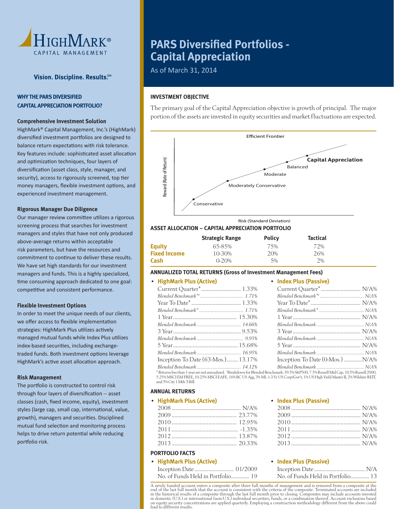

# **WHY THE PARS DIVERSIFIED CAPITAL APPRECIATION PORTFOLIO?**

# **Comprehensive Investment Solution**

 HighMark® Capital Management, Inc.'s (HighMark) diversified investment portfolios are designed to balance return expectations with risk tolerance. Key features include: sophisticated asset allocation and optimization techniques, four layers of diversification (asset class, style, manager, and security), access to rigorously screened, top tier money managers, flexible investment options, and experienced investment management.

#### **Rigorous Manager Due Diligence**

Our manager review committee utilizes a rigorous screening process that searches for investment managers and styles that have not only produced above-average returns within acceptable risk parameters, but have the resources and commitment to continue to deliver these results. We have set high standards for our investment managers and funds. This is a highly specialized, time consuming approach dedicated to one goal: competitive and consistent performance.

### **Flexible Investment Options**

 In order to meet the unique needs of our clients, we offer access to flexible implementation strategies: HighMark Plus utilizes actively managed mutual funds while Index Plus utilizes index-based securities, including exchangetraded funds. Both investment options leverage HighMark's active asset allocation approach.

### **Risk Management**

The portfolio is constructed to control risk through four layers of diversification -- asset classes (cash, fixed income, equity), investment styles (large cap, small cap, international, value, growth), managers and securities. Disciplined mutual fund selection and monitoring process helps to drive return potential while reducing portfolio risk.

# **PARS Diversified Portfolios -Capital Appreciation**

As of March 31, 2014

# **INVESTMENT OBJECTIVE**

 The primary goal of the Capital Appreciation objective is growth of principal. The major portion of the assets are invested in equity securities and market fluctuations are expected.



# **ASSET ALLOCATION – CAPITAL APPRECIATION PORTFOLIO**

|                     | <b>Strategic Range</b> | <b>Policy</b> | <b>Tactical</b> |
|---------------------|------------------------|---------------|-----------------|
| Equity              | 65-85%                 | 75%           | 72%             |
| <b>Fixed Income</b> | 10-30%                 | 20%           | 26%             |
| Cash                | $0 - 20%$              | 5%            | 2%              |

# **ANNUALIZED TOTAL RETURNS (Gross of Investment Management Fees)**

# • **HighMark Plus (Active)**

| $\sim$ Inguinal K F tub (ACLIVE)   | $\sim$ 1114 CA F tubit rappressives |  |
|------------------------------------|-------------------------------------|--|
|                                    |                                     |  |
|                                    |                                     |  |
|                                    |                                     |  |
|                                    |                                     |  |
|                                    |                                     |  |
|                                    |                                     |  |
|                                    |                                     |  |
|                                    |                                     |  |
|                                    |                                     |  |
|                                    |                                     |  |
| Inception To Date (63-Mos.) 13.17% | Inception To Date (0-Mos.)  N/A%    |  |
| Rlended Renchmark 14 12%           | Rlended Benchmark N/A %             |  |

 *Blended Benchmark ....................................... 14.12% Blended Benchmark .......................................... N/A%* \* Returns less than 1-year are not annualized. 1 Breakdown for Blended Benchmark: 39.5% S&P500, 7.5% Russell Mid Cap, 10.5% Russell 2000, 5.25% MSCI EM FREE, 10.25% MSCI EAFE, 16% BC US Agg, 3% ML 1-3 Yr US Corp/Gov't, 1% US High Yield Master II, 2% Wilshire REIT, and 5% Citi 1 Mth T-Bill.

### **ANNUAL RETURNS**

| • HighMark Plus (Active) |  |
|--------------------------|--|
|                          |  |
|                          |  |
|                          |  |
|                          |  |
|                          |  |

| -1.35%   |
|----------|
|          |
| . 20.33% |

# **PORTFOLIO FACTS**

• **HighMark Plus (Active)**

| No. of Funds Held in Portfolio 19 |  |
|-----------------------------------|--|

#### • **Index Plus (Passive)**

• **Index Plus (Passive)**

| $7011$ N/A% |  |
|-------------|--|
|             |  |
|             |  |

# • **Index Plus (Passive)**

| No. of Funds Held in Portfolio 13 |  |
|-----------------------------------|--|

 A newly funded account enters a composite after three full months of management and is removed from a composite at the end of the last full month that the account is consistent with the criteria of the composite. Terminated accounts are included<br>in the historical results of a composite through the last full month prior to closing. Composit in domestic (U.S.) or international (non-U.S.) individual securities, funds, or a combination thereof. Account exclusions based on equity security concentrations are applied quarterly. Employing a construction methodology different from the above could lead to different results.